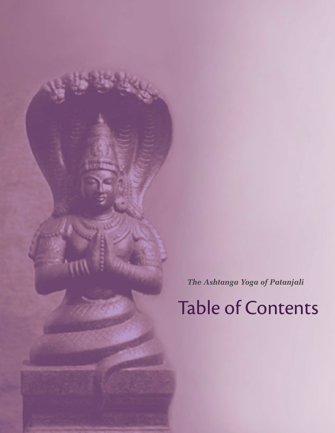*The Ashtanga Yoga of Patanjali*

Table of Contents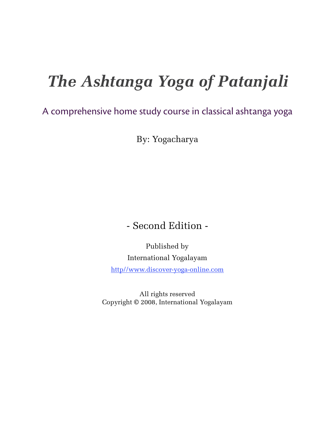# *The Ashtanga Yoga of Patanjali*

### A comprehensive home study course in classical ashtanga yoga

By: Yogacharya

### - Second Edition -

Published by International Yogalayam

http//www.discover-yoga-online.com

All rights reserved Copyright © 2008, International Yogalayam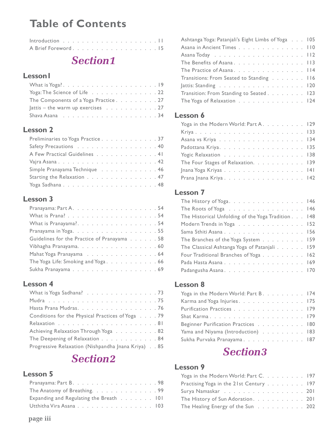### **Table of Contents**

| Introduction $\ldots \ldots \ldots \ldots \ldots \ldots \ldots$ |  |  |  |  |  |  |  |  |  |
|-----------------------------------------------------------------|--|--|--|--|--|--|--|--|--|
|                                                                 |  |  |  |  |  |  |  |  |  |

### **Section1**

#### **Lesson1**

| Yoga: The Science of Life 22                                                                                  |  |
|---------------------------------------------------------------------------------------------------------------|--|
| The Components of a Yoga Practice27                                                                           |  |
| Jattis – the warm up exercises $\ldots$ 27                                                                    |  |
| Shava Asana readily research to contact the state of the state of the state of the Shavane State State of the |  |

#### Lesson 2

| Preliminaries to Yoga Practice 37 |  |
|-----------------------------------|--|
| Safety Precautions 40             |  |
| A Few Practical Guidelines 41     |  |
|                                   |  |
| Simple Pranayama Technique 46     |  |
| Starting the Relaxation 47        |  |
| Yoga Sadhana48                    |  |

#### Lesson 3

| What is Pranayama?. 54                      |  |  |  |
|---------------------------------------------|--|--|--|
| Pranayama in Yoga. 55                       |  |  |  |
| Guidelines for the Practice of Pranayama 58 |  |  |  |
| Vibhagha Pranayama. 60                      |  |  |  |
| Mahat Yoga Pranayama 64                     |  |  |  |
| The Yoga Life: Smoking and Yoga66           |  |  |  |
|                                             |  |  |  |

#### **Lesson 4**

| What is Yoga Sadhana? 73                           |  |
|----------------------------------------------------|--|
|                                                    |  |
| Hasta Prana Mudras. 76                             |  |
| Conditions for the Physical Practices of Yoga 79   |  |
|                                                    |  |
| Achieving Relaxation Through Yoga 82               |  |
| The Deepening of Relaxation 84                     |  |
| Progressive Relaxation (Nishpandha Jnana Kriya) 85 |  |

### **Section2**

#### **Lesson 5**

| Pranayama: Part B. 98                            |  |
|--------------------------------------------------|--|
| The Anatomy of Breathing. 99                     |  |
| Expanding and Regulating the Breath $\ldots$ 101 |  |
| Utthitha Vira Asana 103                          |  |

| Ashtanga Yoga: Patanjali's Eight Limbs of Yoga 105 |  |  |
|----------------------------------------------------|--|--|
| Asana in Ancient Times 110                         |  |  |
|                                                    |  |  |
| The Benefits of Asana. 113                         |  |  |
| The Practice of Asana. 114                         |  |  |
| Transitions: From Seated to Standing 116           |  |  |
| Jattis: Standing 120                               |  |  |
| Transition: From Standing to Seated 123            |  |  |
| The Yoga of Relaxation 124                         |  |  |

#### Lesson 6

| Yoga in the Modern World: Part A. 129 |  |  |  |  |  |
|---------------------------------------|--|--|--|--|--|
|                                       |  |  |  |  |  |
|                                       |  |  |  |  |  |
| Padottana Kriya. 135                  |  |  |  |  |  |
| Yogic Relaxation 138                  |  |  |  |  |  |
| The Four Stages of Relaxation. 139    |  |  |  |  |  |
| Jnana Yoga Kriyas 141                 |  |  |  |  |  |
| Prana Jnana Kriya142                  |  |  |  |  |  |

#### **Lesson 7**

| The History of Yoga. 146                           |  |
|----------------------------------------------------|--|
| The Roots of Yoga 146                              |  |
| The Historical Unfolding of the Yoga Tradition 148 |  |
| Modern Trends in Yoga 152                          |  |
| Sama Sthiti Asana 156                              |  |
| The Branches of the Yoga System 159                |  |
| The Classical Ashtanga Yoga of Patanjali 159       |  |
| Four Traditional Branches of Yoga 162              |  |
| Pada Hasta Asana 169                               |  |
| Padangusha Asana. 170                              |  |

#### Lesson 8

| Yoga in the Modern World: Part B. 174 |  |
|---------------------------------------|--|
| Karma and Yoga Injuries. 175          |  |
| Purification Practices 179            |  |
|                                       |  |
| Beginner Purification Practices 180   |  |
| Yama and Niyama (Introduction) 183    |  |
| Sukha Purvaka Pranayama. 187          |  |

### **Section3**

| Yoga in the Modern World: Part C. 197   |  |  |  |  |  |
|-----------------------------------------|--|--|--|--|--|
| Practising Yoga in the 21st Century 197 |  |  |  |  |  |
| Surya Namaskar 201                      |  |  |  |  |  |
| The History of Sun Adoration. 201       |  |  |  |  |  |
| The Healing Energy of the Sun 202       |  |  |  |  |  |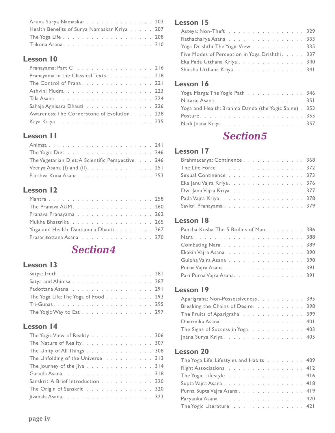| Aruna Surya Namaskar 203                    |  |
|---------------------------------------------|--|
| Health Benefits of Surya Namaskar Kriya 207 |  |
|                                             |  |
|                                             |  |

| Pranayama: Part C 216                        |  |
|----------------------------------------------|--|
| Pranayama in the Classical Texts. 218        |  |
| The Control of Prana 221                     |  |
| Ashvini Mudra 223                            |  |
|                                              |  |
| Sahaja Agnisara Dhauti 226                   |  |
| Awareness: The Cornerstone of Evolution. 228 |  |
|                                              |  |

#### **Lesson II**

| The Yogic Diet 246                                 |  |  |
|----------------------------------------------------|--|--|
| The Vegetarian Diet: A Scientific Perspective. 246 |  |  |
| Veerya Asana (I) and (II). $\ldots$ 251            |  |  |
| Parshva Kona Asana 253                             |  |  |

#### **Lesson 12**

| The Pranava AUM. 260                  |  |  |  |  |  |  |  |  |  |
|---------------------------------------|--|--|--|--|--|--|--|--|--|
| Pranava Pranayama 262                 |  |  |  |  |  |  |  |  |  |
| Mukha Bhastrika 265                   |  |  |  |  |  |  |  |  |  |
| Yoga and Health: Dantamula Dhauti 267 |  |  |  |  |  |  |  |  |  |
| Prasaritottana Asana 270              |  |  |  |  |  |  |  |  |  |

### **Section4**

#### **Lesson 13**

| Satya and Ahimsa 287                |  |  |  |  |  |  |
|-------------------------------------|--|--|--|--|--|--|
| Padottana Asana 291                 |  |  |  |  |  |  |
| The Yoga Life: The Yoga of Food 293 |  |  |  |  |  |  |
|                                     |  |  |  |  |  |  |
| The Yogic Way to Eat 297            |  |  |  |  |  |  |

#### **Lesson 14**

| The Yogic View of Reality 306      |  |  |  |  |  |  |
|------------------------------------|--|--|--|--|--|--|
| The Nature of Reality. 307         |  |  |  |  |  |  |
| The Unity of All Things 308        |  |  |  |  |  |  |
| The Unfolding of the Universe 313  |  |  |  |  |  |  |
| The Journey of the Jiva 314        |  |  |  |  |  |  |
|                                    |  |  |  |  |  |  |
| Sanskrit: A Brief Introduction 320 |  |  |  |  |  |  |
| The Origin of Sanskrit 320         |  |  |  |  |  |  |
|                                    |  |  |  |  |  |  |
|                                    |  |  |  |  |  |  |

#### **Lesson 15**

| Asteya: Non-Theft 329                          |  |
|------------------------------------------------|--|
| Rathacharya Asana 333                          |  |
| Yoga Drishthi: The Yogic View 335              |  |
| Five Modes of Perception in Yoga Drishthi. 337 |  |
| Eka Pada Utthana Kriya 340                     |  |
| Shirsha Utthana Kriya341                       |  |
|                                                |  |

#### Lesson 16

| Yoga Marga: The Yogic Path $\ldots$ 346              |  |
|------------------------------------------------------|--|
|                                                      |  |
| Yoga and Health: Brahma Danda (the Yogic Spine). 353 |  |
|                                                      |  |
| Nadi Jnana Kriya 357                                 |  |

### **Section5**

#### **Lesson 17**

| Brahmacarya: Continence 368 |  |  |  |  |  |  |  |  |
|-----------------------------|--|--|--|--|--|--|--|--|
| The Life Force 372          |  |  |  |  |  |  |  |  |
| Sexual Continence 373       |  |  |  |  |  |  |  |  |
| Eka Janu Vajra Kriya376     |  |  |  |  |  |  |  |  |
| Dwi Janu Vajra Kriya 377    |  |  |  |  |  |  |  |  |
| Pada Vajra Kriya378         |  |  |  |  |  |  |  |  |
| Savitri Pranayama 379       |  |  |  |  |  |  |  |  |

#### Lesson 18

| Pancha Kosha: The 5 Bodies of Man 386 |  |  |  |  |  |  |  |  |
|---------------------------------------|--|--|--|--|--|--|--|--|
|                                       |  |  |  |  |  |  |  |  |
| Combating Nara 389                    |  |  |  |  |  |  |  |  |
| Ekakin Vajra Asana 390                |  |  |  |  |  |  |  |  |
| Gulpha Vajra Asana 390                |  |  |  |  |  |  |  |  |
| Purna Vajra Asana391                  |  |  |  |  |  |  |  |  |
| Pari Purna Vajra Asana. 391           |  |  |  |  |  |  |  |  |

#### **Lesson 19**

| Aparigraha: Non-Possessiveness. 395 |  |  |  |  |  |
|-------------------------------------|--|--|--|--|--|
| Breaking the Chains of Desire. 398  |  |  |  |  |  |
| The Fruits of Aparigraha 399        |  |  |  |  |  |
| Dharmika Asana. 401                 |  |  |  |  |  |
| The Signs of Success in Yoga. 403   |  |  |  |  |  |
| Jnana Surya Kriya 405               |  |  |  |  |  |

| The Yoga Life: Lifestyles and Habits 409 |  |  |  |  |  |
|------------------------------------------|--|--|--|--|--|
| Right Associations 412                   |  |  |  |  |  |
| The Yogic Lifestyle 416                  |  |  |  |  |  |
| Supta Vajra Asana 418                    |  |  |  |  |  |
| Purna Supta Vajra Asana. 419             |  |  |  |  |  |
| Paryanka Asana 420                       |  |  |  |  |  |
| The Yogic Literature 421                 |  |  |  |  |  |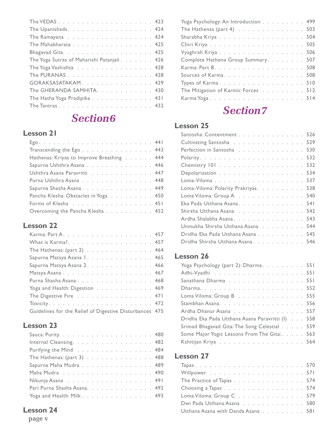| The Upanishads. 424                        |  |  |  |  |
|--------------------------------------------|--|--|--|--|
|                                            |  |  |  |  |
| The Mahabharata 425                        |  |  |  |  |
|                                            |  |  |  |  |
| The Yoga Sutras of Maharishi Patanjali 426 |  |  |  |  |
| The Yoga Vashishta 428                     |  |  |  |  |
| The PURANAS 428                            |  |  |  |  |
| GORAKSASATAKAM. 429                        |  |  |  |  |
| The GHERANDA SAMHITA. 430                  |  |  |  |  |
| The Hatha Yoga Pradipika 431               |  |  |  |  |
|                                            |  |  |  |  |

### **Section6**

#### Lesson 21

| Transcending the Ego 443                  |  |
|-------------------------------------------|--|
| Hathenas: Kriyas to Improve Breathing 444 |  |
| Sapurna Ushthra Asana 446                 |  |
| Ushthra Asana Paravritti 447              |  |
| Purna Ushthra Asana 448                   |  |
| Sapurna Shasha Asana. 449                 |  |
| Pancha Klesha: Obstacles in Yoga 450      |  |
| Forms of Klesha 451                       |  |
| Overcoming the Pancha Klesha 452          |  |
|                                           |  |

#### **Lesson 22**

| What is Karma?. 457                                     |  |
|---------------------------------------------------------|--|
| The Hathenas: $(\text{part } 2)$ 464                    |  |
| Sapurna Matsya Asana I. 465                             |  |
| Sapurna Matsya Asana 2. 466                             |  |
|                                                         |  |
| Purna Shasha Asana. 468                                 |  |
| Yoga and Health: Digestion 469                          |  |
| The Digestive Fire 471                                  |  |
|                                                         |  |
| Guidelines for the Relief of Digestive Disturbances 475 |  |

#### **Lesson 23**

| Internal Cleansing. 482      |  |  |  |  |  |  |  |
|------------------------------|--|--|--|--|--|--|--|
| Purifying the Mind 484       |  |  |  |  |  |  |  |
|                              |  |  |  |  |  |  |  |
| Sapurna Maha Mudra 489       |  |  |  |  |  |  |  |
|                              |  |  |  |  |  |  |  |
|                              |  |  |  |  |  |  |  |
| Pari Purna Shasha Asana. 492 |  |  |  |  |  |  |  |
| Yoga and Health: Milk. 493   |  |  |  |  |  |  |  |

#### **Lesson 24**

page v

| Yoga Psychology: An Introduction 499                                   |  |  |  |  |  |
|------------------------------------------------------------------------|--|--|--|--|--|
| The Hathenas (part 4) $\ldots$ $\ldots$ $\ldots$ $\ldots$ $\ldots$ 503 |  |  |  |  |  |
| Sharabha Kriya 504                                                     |  |  |  |  |  |
|                                                                        |  |  |  |  |  |
| Vyaghrah Kriya 506                                                     |  |  |  |  |  |
| Complete Hathena Group Summary. 507                                    |  |  |  |  |  |
|                                                                        |  |  |  |  |  |
| Sources of Karma. 508                                                  |  |  |  |  |  |
|                                                                        |  |  |  |  |  |
| The Mitigation of Karmic Forces 512                                    |  |  |  |  |  |
|                                                                        |  |  |  |  |  |
|                                                                        |  |  |  |  |  |

### **Section7**

#### **Lesson 25**

| Santosha: Contentment 526           |  |
|-------------------------------------|--|
| Cultivating Santosha 529            |  |
| Perfection in Santosha 530          |  |
|                                     |  |
|                                     |  |
| Depolarization 534                  |  |
| Loma-Viloma537                      |  |
| Loma-Viloma: Polarity Prakriyas 538 |  |
| Loma Viloma: Group A 540            |  |
| Eka Pada Utthana Asana. 541         |  |
| Shirsha Utthana Asana 542           |  |
| Ardha Shalabha Asana. 543           |  |
| Unmukha Shirsha Utthana Asana 544   |  |
| Dridha Eka Pada Utthana Asana 545   |  |
| Dridha Shirsha Utthana Asana. 546   |  |
|                                     |  |

#### **Lesson 26**

| Yoga Psychology (part 2): Dharma. 551            |  |
|--------------------------------------------------|--|
|                                                  |  |
| Sanathana Dharma 551                             |  |
|                                                  |  |
| Loma Viloma: Group B 555                         |  |
|                                                  |  |
| Ardha Dhanur Asana 557                           |  |
| Dridha Eka Pada Utthana Asana Paravritti (I) 558 |  |
| Srimad Bhagavad Gita: The Song Celestial 559     |  |
| Some Major Yogic Lessons From The Gita: 563      |  |
|                                                  |  |
|                                                  |  |

| The Practice of Tapas 574          |  |  |  |  |
|------------------------------------|--|--|--|--|
| Choosing a Tapas 574               |  |  |  |  |
| Loma Viloma: Group C579            |  |  |  |  |
| Dwi Pada Utthana Asana 580         |  |  |  |  |
| Utthana Asana with Danda Asana 581 |  |  |  |  |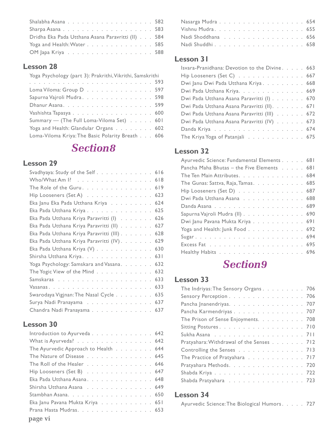| Dridha Eka Pada Utthana Asana Paravritti (II) 584 |  |  |
|---------------------------------------------------|--|--|
| Yoga and Health: Water 585                        |  |  |
| OM Japa Kriya 588                                 |  |  |

| Yoga Psychology (part 3): Prakrithi, Vikrithi, Samskrithi |  |  |
|-----------------------------------------------------------|--|--|
|                                                           |  |  |
| Loma Viloma: Group D597                                   |  |  |
| Sapurna Vajroli Mudra. 598                                |  |  |
|                                                           |  |  |
| Vashishta Tapasya 600                                     |  |  |
| Summary - (The Full Loma-Viloma Set) 601                  |  |  |
| Yoga and Health: Glandular Organs 602                     |  |  |
| Loma-Viloma Kriya: The Basic Polarity Breath 606          |  |  |

### **Section8**

#### **Lesson 29**

| Svadhyaya: Study of the Self 616            |
|---------------------------------------------|
| Who/What Am 1? 618                          |
| The Role of the Guru. 619                   |
| Hip Looseners (Set A) 623                   |
| Eka Janu Eka Pada Utthana Kriya 624         |
| Eka Pada Utthana Kriya 625                  |
| Eka Pada Utthana Kriya Paravritti (I) 626   |
| Eka Pada Utthana Kriya Paravritti (II) 627  |
| Eka Pada Utthana Kriya Paravritti (III) 628 |
| Eka Pada Utthana Kriya Paravritti (IV). 629 |
| Eka Pada Utthana Kriya (V) 630              |
| Shirsha Utthana Kriya. 631                  |
| Yoga Psychology: Samskara and Vasana. 632   |
| The Yogic View of the Mind 632              |
| 633                                         |
|                                             |
| Swarodaya Vigjnan: The Nasal Cycle 635      |
| Surya Nadi Pranayama 637                    |
| Chandra Nadi Pranayama 637                  |

#### **Lesson 30**

| Introduction to Ayurveda 642         |  |
|--------------------------------------|--|
| What is Ayurveda? 642                |  |
| The Ayurvedic Approach to Health 644 |  |
| The Nature of Disease 645            |  |
| The Roll of the Healer 646           |  |
| Hip Looseners (Set B) 647            |  |
| Eka Pada Utthana Asana. 648          |  |
| Shirsha Utthana Asana 649            |  |
| Stambhan Asana. 650                  |  |
| Eka Janu Pavana Mukta Kriya 651      |  |
| Prana Hasta Mudras. 653              |  |
|                                      |  |

| Nasarga Mudra 654 |  |  |  |  |  |  |  |  |  |
|-------------------|--|--|--|--|--|--|--|--|--|
|                   |  |  |  |  |  |  |  |  |  |
|                   |  |  |  |  |  |  |  |  |  |
|                   |  |  |  |  |  |  |  |  |  |

#### **Lesson 31**

| Isvara-Pranidhana: Devotion to the Divine. 663 |  |  |  |
|------------------------------------------------|--|--|--|
| Hip Looseners (Set C) 667                      |  |  |  |
| Dwi Janu Dwi Pada Utthana Kriya. 668           |  |  |  |
| Dwi Pada Utthana Kriya. 669                    |  |  |  |
| Dwi Pada Utthana Asana Paravritti (I) 670      |  |  |  |
| Dwi Pada Utthana Asana Paravritti (II). 671    |  |  |  |
| Dwi Pada Utthana Asana Paravritti (III) 672    |  |  |  |
| Dwi Pada Utthana Asana Paravritti (IV) 673     |  |  |  |
|                                                |  |  |  |
| The Kriya Yoga of Patanjali 675                |  |  |  |

#### **Lesson 32**

| Ayurvedic Science: Fundamental Elements 681 |  |
|---------------------------------------------|--|
| Pancha Maha Bhutas - the Five Elements 681  |  |
| The Ten Main Attributes. 684                |  |
| The Gunas: Sattva, Raja, Tamas. 685         |  |
| Hip Looseners (Set D) 687                   |  |
| Dwi Pada Utthana Asana 688                  |  |
|                                             |  |
| Sapurna Vajroli Mudra (II) 690              |  |
| Dwi Janu Pavana Mukta Kriya 691             |  |
| Yoga and Health: Junk Food 692              |  |
|                                             |  |
|                                             |  |
| Healthy Habits 696                          |  |

# **Section9**

#### **Lesson 33**

| The Indriyas: The Sensory Organs. 706    |  |
|------------------------------------------|--|
| Sensory Perception 706                   |  |
| Pancha Jnanendriyas. 707                 |  |
| Pancha Karmendriyas 707                  |  |
| The Prison of Sense Enjoyments. 708      |  |
| Sitting Postures. 710                    |  |
|                                          |  |
| Pratyahara: Withdrawal of the Senses 712 |  |
| Controlling the Senses 713               |  |
| The Practice of Pratyahara 717           |  |
| Pratyahara Methods. 720                  |  |
|                                          |  |
| Shabda Pratyahara 723                    |  |
|                                          |  |

| Ayurvedic Science: The Biological Humors. 727 |  |  |  |  |
|-----------------------------------------------|--|--|--|--|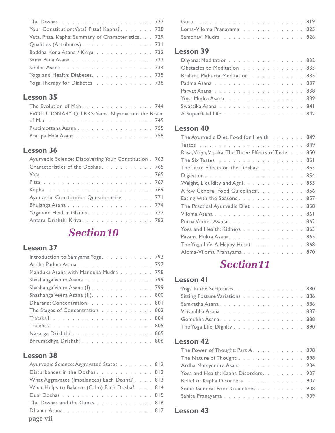| Your Constitution: Vata? Pitta? Kapha?. 728         |  |
|-----------------------------------------------------|--|
| Vata, Pitta, Kapha: Summary of Characteristics. 729 |  |
| Qualities (Attributes). 731                         |  |
| Baddha Kona Asana / Kriya 732                       |  |
| Sama Pada Asana 733                                 |  |
|                                                     |  |
| Yoga and Health: Diabetes. 735                      |  |
| Yoga Therapy for Diabetes 738                       |  |

| The Evolution of Man. 744                      |  |
|------------------------------------------------|--|
| EVOLUTIONARY QUIRKS: Yama-Niyama and the Brain |  |
|                                                |  |
| Pascimottana Asana755                          |  |
| Pratipa Hala Asana 758                         |  |

#### **Lesson 36**

| Characteristics of the Doshas. 765<br>Ayurvedic Constitution Questionnaire 771<br>Yoga and Health: Glands. 777<br>Antara Drishthi Kriya. 782 | Ayurvedic Science: Discovering Your Constitution . 763 |  |
|----------------------------------------------------------------------------------------------------------------------------------------------|--------------------------------------------------------|--|
|                                                                                                                                              |                                                        |  |
|                                                                                                                                              |                                                        |  |
|                                                                                                                                              |                                                        |  |
|                                                                                                                                              |                                                        |  |
|                                                                                                                                              |                                                        |  |
|                                                                                                                                              |                                                        |  |
|                                                                                                                                              |                                                        |  |
|                                                                                                                                              |                                                        |  |

### Section 10

#### **Lesson 37**

| Introduction to Samyama Yoga. 793    |
|--------------------------------------|
| Ardha Padma Asana. 797               |
| Manduka Asana with Manduka Mudra 798 |
| Shashanga Veera Asana 799            |
| Shashanga Veera Asana (I) 799        |
| Shashanga Veera Asana (II). 800      |
| Dharana: Concentration. 801          |
| The Stages of Concentration 802      |
|                                      |
|                                      |
| Nasarga Drishthi 805                 |
| Bhrumadhya Drishthi 806              |

#### **Lesson 38**

| Ayurvedic Science: Aggravated States 812      |  |
|-----------------------------------------------|--|
| Disturbances in the Doshas 812                |  |
| What Aggravates (imbalances) Each Dosha? 813  |  |
| What Helps to Balance (Calm) Each Dosha?. 814 |  |
|                                               |  |
| The Doshas and the Gunas 816                  |  |
| Dhanur Asana. 817                             |  |
| page vii                                      |  |

| Loma-Viloma Pranayama 825 |  |  |  |  |  |  |  |
|---------------------------|--|--|--|--|--|--|--|
| Sambhavi Mudra 826        |  |  |  |  |  |  |  |

#### **Lesson 39**

| Dhyana: Meditation 832         |  |
|--------------------------------|--|
| Obstacles to Meditation 833    |  |
| Brahma Mahurta Meditation. 835 |  |
|                                |  |
|                                |  |
| Yoga Mudra Asana. 839          |  |
|                                |  |
| A Superficial Life 842         |  |

#### **Lesson 40**

| The Ayurvedic Diet: Food for Health 849             |  |
|-----------------------------------------------------|--|
|                                                     |  |
| Rasa, Virya, Vipaka: The Three Effects of Taste 850 |  |
| The Six Tastes 851                                  |  |
| The Taste Effects on the Doshas: 853                |  |
|                                                     |  |
| Weight, Liquidity and Agni. 855                     |  |
| A few General Food Guidelines: 856                  |  |
| Eating with the Seasons 857                         |  |
| The Practical Ayurvedic Diet 858                    |  |
|                                                     |  |
| Purna Viloma Asana 862                              |  |
| Yoga and Health: Kidneys 863                        |  |
| Pavana Mukta Asana. 865                             |  |
| The Yoga Life: A Happy Heart 868                    |  |
| Aloma-Viloma Pranayama 870                          |  |

## Section11

#### **Lesson 41**

| Yoga in the Scriptures. 880    |  |  |  |  |  |  |  |
|--------------------------------|--|--|--|--|--|--|--|
| Sitting Posture Variations 886 |  |  |  |  |  |  |  |
| Samkatha Asana. 886            |  |  |  |  |  |  |  |
| Vrishabha Asana 887            |  |  |  |  |  |  |  |
| Gomukha Asana. 888             |  |  |  |  |  |  |  |
| The Yoga Life: Dignity 890     |  |  |  |  |  |  |  |

#### **Lesson 42**

| The Power of Thought: Part A. 898     |  |  |  |  |  |
|---------------------------------------|--|--|--|--|--|
| The Nature of Thought 898             |  |  |  |  |  |
| Ardha Matsyendra Asana 904            |  |  |  |  |  |
| Yoga and Health: Kapha Disorders. 907 |  |  |  |  |  |
| Relief of Kapha Disorders. 907        |  |  |  |  |  |
| Some General Food Guidelines: 908     |  |  |  |  |  |
| Sahita Pranayama 909                  |  |  |  |  |  |
|                                       |  |  |  |  |  |